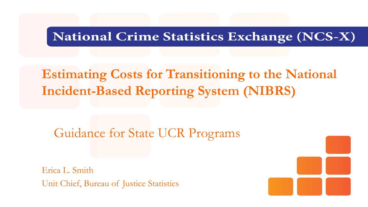#### **National Crime Statistics Exchange (NCS-X)**

#### **Estimating Costs for Transitioning to the National Incident-Based Reporting System (NIBRS)**

#### Guidance for State UCR Programs

Erica L. Smith Unit Chief, Bureau of Justice Statistics

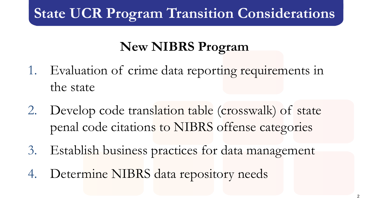#### **State UCR Program Transition Considerations**

#### **New NIBRS Program**

- 1. Evaluation of crime data reporting requirements in the state
- 2. Develop code translation table (crosswalk) of state penal code citations to NIBRS offense categories
- 3. Establish business practices for data management
- 4. Determine NIBRS data repository needs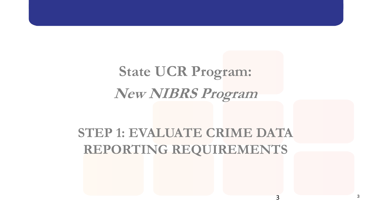#### **STEP 1: EVALUATE CRIME DATA REPORTING REQUIREMENTS**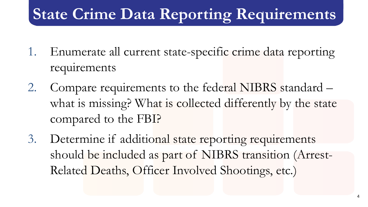## **State Crime Data Reporting Requirements**

- 1. Enumerate all current state-specific crime data reporting requirements
- 2. Compare requirements to the federal NIBRS standard what is missing? What is collected differently by the state compared to the FBI?
- 3. Determine if additional state reporting requirements should be included as part of NIBRS transition (Arrest-Related Deaths, Officer Involved Shootings, etc.)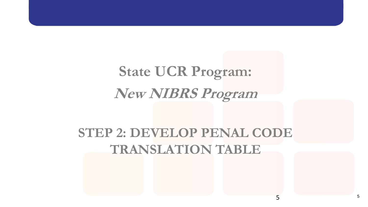#### **STEP 2: DEVELOP PENAL CODE TRANSLATION TABLE**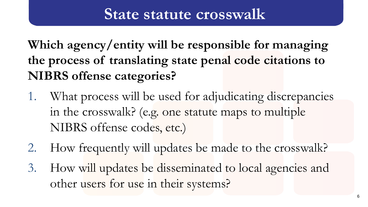**Which agency/entity will be responsible for managing the process of translating state penal code citations to NIBRS offense categories?**

- 1. What process will be used for adjudicating discrepancies in the crosswalk? (e.g. one statute maps to multiple NIBRS offense codes, etc.)
- 2. How frequently will updates be made to the crosswalk?
- 3. How will updates be disseminated to local agencies and other users for use in their systems?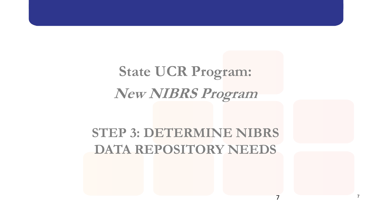#### **STEP 3: DETERMINE NIBRS DATA REPOSITORY NEEDS**

7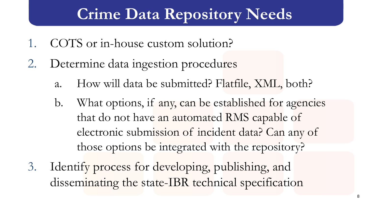## **Crime Data Repository Needs**

- 1. COTS or in-house custom solution?
- 2. Determine data ingestion procedures
	- a. How will data be submitted? Flatfile, XML, both?
	- b. What options, if any, can be established for agencies that do not have an automated RMS capable of electronic submission of incident data? Can any of those options be integrated with the repository?
- 3. Identify process for developing, publishing, and disseminating the state-IBR technical specification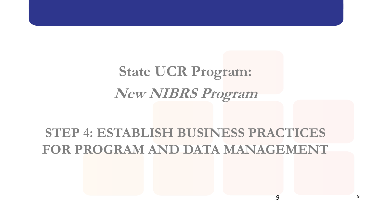#### **STEP 4: ESTABLISH BUSINESS PRACTICES FOR PROGRAM AND DATA MANAGEMENT**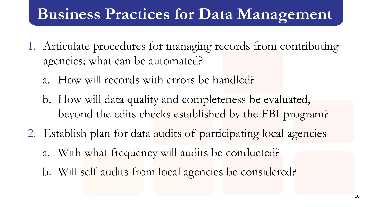## **Business Practices for Data Management**

- 1. Articulate procedures for managing records from contributing agencies; what can be automated?
	- a. How will records with errors be handled?
	- b. How will data quality and completeness be evaluated, beyond the edits checks established by the FBI program?
- 2. Establish plan for data audits of participating local agencies
	- a. With what frequency will audits be conducted?
	- b. Will self-audits from local agencies be considered?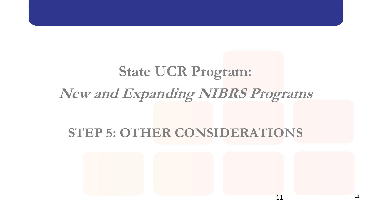## **State UCR Program: New and Expanding NIBRS Programs**

#### **STEP 5: OTHER CONSIDERATIONS**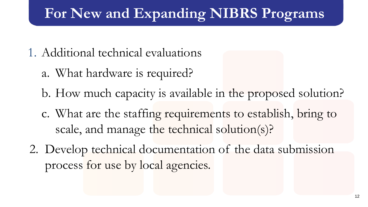### **For New and Expanding NIBRS Programs**

- 1. Additional technical evaluations
	- a. What hardware is required?
	- b. How much capacity is available in the proposed solution?
	- c. What are the staffing requirements to establish, bring to scale, and manage the technical solution(s)?
- 2. Develop technical documentation of the data submission process for use by local agencies.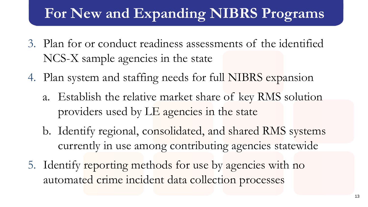### **For New and Expanding NIBRS Programs**

- 3. Plan for or conduct readiness assessments of the identified NCS-X sample agencies in the state
- 4. Plan system and staffing needs for full NIBRS expansion
	- a. Establish the relative market share of key RMS solution providers used by LE agencies in the state
	- b. Identify regional, consolidated, and shared RMS systems currently in use among contributing agencies statewide
- 5. Identify reporting methods for use by agencies with no automated crime incident data collection processes